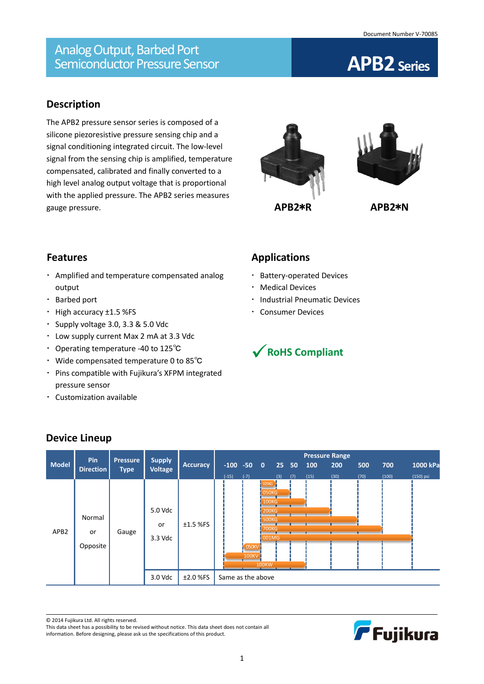# **Description**

The APB2 pressure sensor series is composed of a silicone piezoresistive pressure sensing chip and a signal conditioning integrated circuit. The low-level signal from the sensing chip is amplified, temperature compensated, calibrated and finally converted to a high level analog output voltage that is proportional with the applied pressure. The APB2 series measures gauge pressure.





### **Features**

- Amplified and temperature compensated analog output
- Barbed port
- High accuracy ±1.5 %FS
- Supply voltage 3.0, 3.3 & 5.0 Vdc
- Low supply current Max 2 mA at 3.3 Vdc
- Operating temperature -40 to 125℃
- Wide compensated temperature 0 to 85℃
- Pins compatible with Fujikura's XFPM integrated pressure sensor
- Customization available

### **Applications**

- Battery-operated Devices
- Medical Devices
- **· Industrial Pneumatic Devices**
- Consumer Devices



|                  | Pin                      | <b>Pressure</b> |                                 |                 | <b>Pressure Range</b> |                                 |                                                                                                                   |                 |     |      |      |      |       |           |
|------------------|--------------------------|-----------------|---------------------------------|-----------------|-----------------------|---------------------------------|-------------------------------------------------------------------------------------------------------------------|-----------------|-----|------|------|------|-------|-----------|
| <b>Model</b>     | <b>Direction</b>         | <b>Type</b>     | <b>Supply</b><br><b>Voltage</b> | <b>Accuracy</b> |                       | $-100 -50 0$                    |                                                                                                                   | 25 <sub>2</sub> | 50  | 100  | 200  | 500  | 700   | 1000 kPa  |
| APB <sub>2</sub> | Normal<br>or<br>Opposite | Gauge           | 5.0 Vdc<br>or<br>3.3 Vdc        | $±1.5$ %FS      | $(-15)$               | $(-7)$<br><b>050KV</b><br>100KV | 025KG<br><b>050KG</b><br><b>100KG</b><br><b>200KG</b><br><b>500KG</b><br><b>700KG</b><br>$-001MG$<br><b>100KW</b> | (3)             | (7) | (15) | (30) | (70) | (100) | (150) psi |
|                  |                          |                 | 3.0 Vdc                         | $±2.0$ %FS      | Same as the above     |                                 |                                                                                                                   |                 |     |      |      |      |       |           |

### **Device Lineup**

© 2014 Fujikura Ltd. All rights reserved.

This data sheet has a possibility to be revised without notice. This data sheet does not contain all information. Before designing, please ask us the specifications of this product.

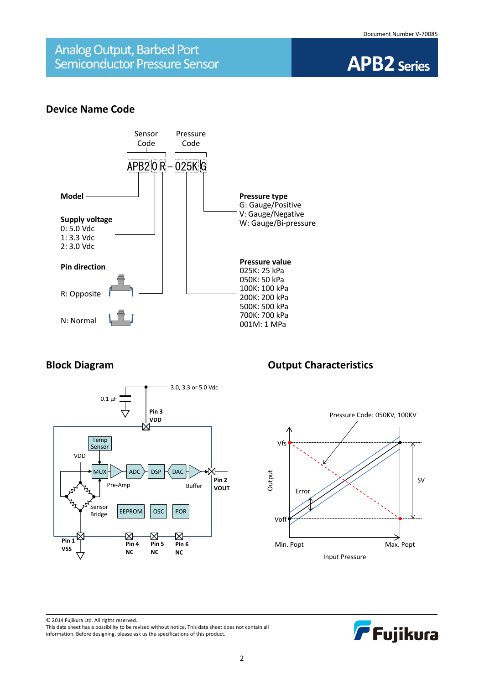

#### **Device Name Code**





### **Block Diagram Diagram Output Characteristics**



F Fujikura

© 2014 Fujikura Ltd. All rights reserved. This data sheet has a possibility to be revised without notice. This data sheet does not contain all information. Before designing, please ask us the specifications of this product.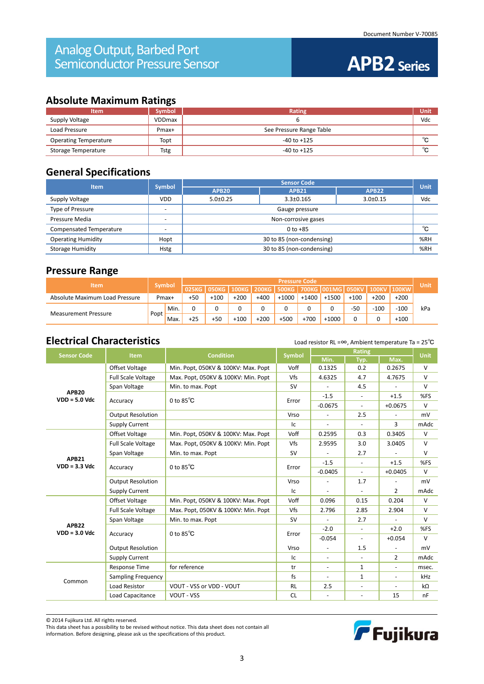### **Absolute Maximum Ratings**

| <b>Item</b>                  | <b>Symbol</b> | Rating                   | Unit        |
|------------------------------|---------------|--------------------------|-------------|
| Supply Voltage               | VDDmax        |                          | Vdc         |
| Load Pressure                | Pmax+         | See Pressure Range Table |             |
| <b>Operating Temperature</b> | Topt          | $-40$ to $+125$          | $\sim$<br>ັ |
| Storage Temperature          | <b>Tstg</b>   | $-40$ to $+125$          | $\sim$<br>ັ |

### **General Specifications**

| <b>Item</b>               | <b>Symbol</b> | <b>Sensor Code</b>        |                 |                |     |  |  |
|---------------------------|---------------|---------------------------|-----------------|----------------|-----|--|--|
|                           |               | APB <sub>20</sub>         | APB22           | <b>Unit</b>    |     |  |  |
| Supply Voltage            | <b>VDD</b>    | $5.0 \pm 0.25$            | $3.3 \pm 0.165$ | $3.0 \pm 0.15$ | Vdc |  |  |
| Type of Pressure          |               | Gauge pressure            |                 |                |     |  |  |
| Pressure Media            | -             | Non-corrosive gases       |                 |                |     |  |  |
| Compensated Temperature   |               | $0$ to $+85$              |                 |                |     |  |  |
| <b>Operating Humidity</b> | Hopt          | 30 to 85 (non-condensing) |                 |                |     |  |  |
| <b>Storage Humidity</b>   | <b>Hstg</b>   | 30 to 85 (non-condensing) |                 |                |     |  |  |

#### **Pressure Range**

|                                |               |      | <b>Pressure Code</b> |              |        |                       |         |         |                       |        |              |              |             |
|--------------------------------|---------------|------|----------------------|--------------|--------|-----------------------|---------|---------|-----------------------|--------|--------------|--------------|-------------|
| <b>Item</b>                    | <b>Symbol</b> |      | 025KG                | <b>OSOKG</b> |        | 100KG   200KG   500KG |         |         | ' 700KG  001MG  050KV |        | <b>100KV</b> | <b>100KW</b> | <b>Unit</b> |
| Absolute Maximum Load Pressure | Pmax+         |      | $+50$                | $+100$       | $+200$ | +400                  | $+1000$ | $+1400$ | $+1500$               | $+100$ | $+200$       | $+200$       |             |
|                                |               | Min. |                      |              |        |                       |         | 0       |                       | $-50$  | $-100$       | $-100$       | kPa         |
| <b>Measurement Pressure</b>    | Popt.         | Max. | $+25$                | $+50$        | $+100$ | $+200$                | $+500$  | $+700$  | $+1000$               |        |              | $+100$       |             |

### **Electrical Characteristics** Load resistor RL =∞, Ambient temperature Ta = 25<sup>°</sup>C

| <b>Sensor Code</b>                                                                        | <b>Item</b>               |                                                                                                                                                                                                                                                                                                                                                                                                                                                                                                                                                                                                                                                                                                                                                                                                                                                                                                                                                                                                                                                                                                                                                                                                                                                                                                                                                                            |     |        | <b>Unit</b> |        |            |
|-------------------------------------------------------------------------------------------|---------------------------|----------------------------------------------------------------------------------------------------------------------------------------------------------------------------------------------------------------------------------------------------------------------------------------------------------------------------------------------------------------------------------------------------------------------------------------------------------------------------------------------------------------------------------------------------------------------------------------------------------------------------------------------------------------------------------------------------------------------------------------------------------------------------------------------------------------------------------------------------------------------------------------------------------------------------------------------------------------------------------------------------------------------------------------------------------------------------------------------------------------------------------------------------------------------------------------------------------------------------------------------------------------------------------------------------------------------------------------------------------------------------|-----|--------|-------------|--------|------------|
|                                                                                           |                           |                                                                                                                                                                                                                                                                                                                                                                                                                                                                                                                                                                                                                                                                                                                                                                                                                                                                                                                                                                                                                                                                                                                                                                                                                                                                                                                                                                            |     | Min.   | Typ.        | Max.   |            |
|                                                                                           | Offset Voltage            | Min. Popt, 050KV & 100KV: Max. Popt                                                                                                                                                                                                                                                                                                                                                                                                                                                                                                                                                                                                                                                                                                                                                                                                                                                                                                                                                                                                                                                                                                                                                                                                                                                                                                                                        |     |        | 0.2         | 0.2675 | $\vee$     |
|                                                                                           | <b>Full Scale Voltage</b> | Max. Popt, 050KV & 100KV: Min. Popt                                                                                                                                                                                                                                                                                                                                                                                                                                                                                                                                                                                                                                                                                                                                                                                                                                                                                                                                                                                                                                                                                                                                                                                                                                                                                                                                        | Vfs | 4.6325 | 4.7         | 4.7675 | $\vee$     |
|                                                                                           | Span Voltage              | <b>Rating</b><br><b>Condition</b><br><b>Symbol</b><br>Voff<br>0.1325<br>Min. to max. Popt<br><b>SV</b><br>4.5<br>$-1.5$<br>$+1.5$<br>$\overline{\phantom{a}}$<br>0 to $85^{\circ}$ C<br>Error<br>$-0.0675$<br>$+0.0675$<br>$\sim$<br>2.5<br>Vrso<br>3<br>Ic<br>$\sim$<br>$\blacksquare$<br>Voff<br>0.3405<br>Min. Popt, 050KV & 100KV: Max. Popt<br>0.2595<br>0.3<br>Vfs<br>Max. Popt, 050KV & 100KV: Min. Popt<br>3.0405<br>2.9595<br>3.0<br><b>SV</b><br>Min. to max. Popt<br>2.7<br>$-1.5$<br>$+1.5$<br>$\sim$<br>0 to $85^{\circ}$ C<br>Error<br>$-0.0405$<br>$+0.0405$<br>$\sim$<br>Vrso<br>1.7<br>$\overline{\phantom{a}}$<br>$\overline{2}$<br>Ic<br>Voff<br>0.204<br>Min. Popt, 050KV & 100KV: Max. Popt<br>0.096<br>0.15<br>Vfs<br>Max. Popt, 050KV & 100KV: Min. Popt<br>2.796<br>2.85<br>2.904<br>Min. to max. Popt<br><b>SV</b><br>2.7<br>$\blacksquare$<br>$\omega$<br>$-2.0$<br>$+2.0$<br>$\overline{\phantom{a}}$<br>0 to $85^{\circ}$ C<br>Error<br>$-0.054$<br>$+0.054$<br>$\blacksquare$<br>Vrso<br>1.5<br>$\mathbb{L}$<br>$\blacksquare$<br>$\overline{2}$<br>Ic<br>$\blacksquare$<br>$\blacksquare$<br>for reference<br>$\mathbf{1}$<br>tr<br>$\blacksquare$<br>$\omega$<br>fs<br>$\mathbf{1}$<br>$\overline{\phantom{a}}$<br>VOUT - VSS or VDD - VOUT<br><b>RL</b><br>2.5<br><b>VOUT - VSS</b><br><b>CL</b><br>15<br>$\blacksquare$<br>$\blacksquare$ | v   |        |             |        |            |
| APB <sub>20</sub><br>$VDD = 5.0$ Vdc                                                      |                           |                                                                                                                                                                                                                                                                                                                                                                                                                                                                                                                                                                                                                                                                                                                                                                                                                                                                                                                                                                                                                                                                                                                                                                                                                                                                                                                                                                            |     |        |             |        | %FS        |
|                                                                                           | Accuracy                  |                                                                                                                                                                                                                                                                                                                                                                                                                                                                                                                                                                                                                                                                                                                                                                                                                                                                                                                                                                                                                                                                                                                                                                                                                                                                                                                                                                            |     |        |             |        | $\vee$     |
|                                                                                           | <b>Output Resolution</b>  |                                                                                                                                                                                                                                                                                                                                                                                                                                                                                                                                                                                                                                                                                                                                                                                                                                                                                                                                                                                                                                                                                                                                                                                                                                                                                                                                                                            |     |        |             |        | mV         |
|                                                                                           | <b>Supply Current</b>     |                                                                                                                                                                                                                                                                                                                                                                                                                                                                                                                                                                                                                                                                                                                                                                                                                                                                                                                                                                                                                                                                                                                                                                                                                                                                                                                                                                            |     |        |             |        | mAdc       |
|                                                                                           | Offset Voltage            |                                                                                                                                                                                                                                                                                                                                                                                                                                                                                                                                                                                                                                                                                                                                                                                                                                                                                                                                                                                                                                                                                                                                                                                                                                                                                                                                                                            |     |        |             |        | $\vee$     |
|                                                                                           | <b>Full Scale Voltage</b> |                                                                                                                                                                                                                                                                                                                                                                                                                                                                                                                                                                                                                                                                                                                                                                                                                                                                                                                                                                                                                                                                                                                                                                                                                                                                                                                                                                            |     |        |             |        | V          |
|                                                                                           | Span Voltage              |                                                                                                                                                                                                                                                                                                                                                                                                                                                                                                                                                                                                                                                                                                                                                                                                                                                                                                                                                                                                                                                                                                                                                                                                                                                                                                                                                                            |     |        |             |        | $\vee$     |
| APB21<br>$VDD = 3.3$ Vdc<br>Accuracy<br><b>Output Resolution</b><br><b>Supply Current</b> |                           |                                                                                                                                                                                                                                                                                                                                                                                                                                                                                                                                                                                                                                                                                                                                                                                                                                                                                                                                                                                                                                                                                                                                                                                                                                                                                                                                                                            |     |        |             | %FS    |            |
|                                                                                           |                           |                                                                                                                                                                                                                                                                                                                                                                                                                                                                                                                                                                                                                                                                                                                                                                                                                                                                                                                                                                                                                                                                                                                                                                                                                                                                                                                                                                            |     |        |             |        | $\vee$     |
|                                                                                           |                           |                                                                                                                                                                                                                                                                                                                                                                                                                                                                                                                                                                                                                                                                                                                                                                                                                                                                                                                                                                                                                                                                                                                                                                                                                                                                                                                                                                            |     |        |             |        | mV         |
|                                                                                           |                           |                                                                                                                                                                                                                                                                                                                                                                                                                                                                                                                                                                                                                                                                                                                                                                                                                                                                                                                                                                                                                                                                                                                                                                                                                                                                                                                                                                            |     |        |             |        | mAdc       |
|                                                                                           | Offset Voltage            |                                                                                                                                                                                                                                                                                                                                                                                                                                                                                                                                                                                                                                                                                                                                                                                                                                                                                                                                                                                                                                                                                                                                                                                                                                                                                                                                                                            |     |        |             |        | $\vee$     |
|                                                                                           | <b>Full Scale Voltage</b> |                                                                                                                                                                                                                                                                                                                                                                                                                                                                                                                                                                                                                                                                                                                                                                                                                                                                                                                                                                                                                                                                                                                                                                                                                                                                                                                                                                            |     |        |             |        | $\vee$     |
|                                                                                           | Span Voltage              |                                                                                                                                                                                                                                                                                                                                                                                                                                                                                                                                                                                                                                                                                                                                                                                                                                                                                                                                                                                                                                                                                                                                                                                                                                                                                                                                                                            |     |        |             |        | V          |
| APB22<br>$VDD = 3.0$ Vdc                                                                  |                           |                                                                                                                                                                                                                                                                                                                                                                                                                                                                                                                                                                                                                                                                                                                                                                                                                                                                                                                                                                                                                                                                                                                                                                                                                                                                                                                                                                            |     |        |             |        | %FS        |
|                                                                                           | Accuracy                  |                                                                                                                                                                                                                                                                                                                                                                                                                                                                                                                                                                                                                                                                                                                                                                                                                                                                                                                                                                                                                                                                                                                                                                                                                                                                                                                                                                            |     |        |             |        | V          |
|                                                                                           | <b>Output Resolution</b>  |                                                                                                                                                                                                                                                                                                                                                                                                                                                                                                                                                                                                                                                                                                                                                                                                                                                                                                                                                                                                                                                                                                                                                                                                                                                                                                                                                                            |     |        |             |        | mV         |
|                                                                                           | <b>Supply Current</b>     |                                                                                                                                                                                                                                                                                                                                                                                                                                                                                                                                                                                                                                                                                                                                                                                                                                                                                                                                                                                                                                                                                                                                                                                                                                                                                                                                                                            |     |        |             |        | mAdc       |
|                                                                                           | <b>Response Time</b>      |                                                                                                                                                                                                                                                                                                                                                                                                                                                                                                                                                                                                                                                                                                                                                                                                                                                                                                                                                                                                                                                                                                                                                                                                                                                                                                                                                                            |     |        |             |        | msec.      |
|                                                                                           | Sampling Frequency        |                                                                                                                                                                                                                                                                                                                                                                                                                                                                                                                                                                                                                                                                                                                                                                                                                                                                                                                                                                                                                                                                                                                                                                                                                                                                                                                                                                            |     |        |             |        | <b>kHz</b> |
| Common                                                                                    | Load Resistor             |                                                                                                                                                                                                                                                                                                                                                                                                                                                                                                                                                                                                                                                                                                                                                                                                                                                                                                                                                                                                                                                                                                                                                                                                                                                                                                                                                                            |     |        |             |        | kΩ         |
|                                                                                           | Load Capacitance          |                                                                                                                                                                                                                                                                                                                                                                                                                                                                                                                                                                                                                                                                                                                                                                                                                                                                                                                                                                                                                                                                                                                                                                                                                                                                                                                                                                            |     |        |             |        | nF         |

© 2014 Fujikura Ltd. All rights reserved.

This data sheet has a possibility to be revised without notice. This data sheet does not contain all information. Before designing, please ask us the specifications of this product.